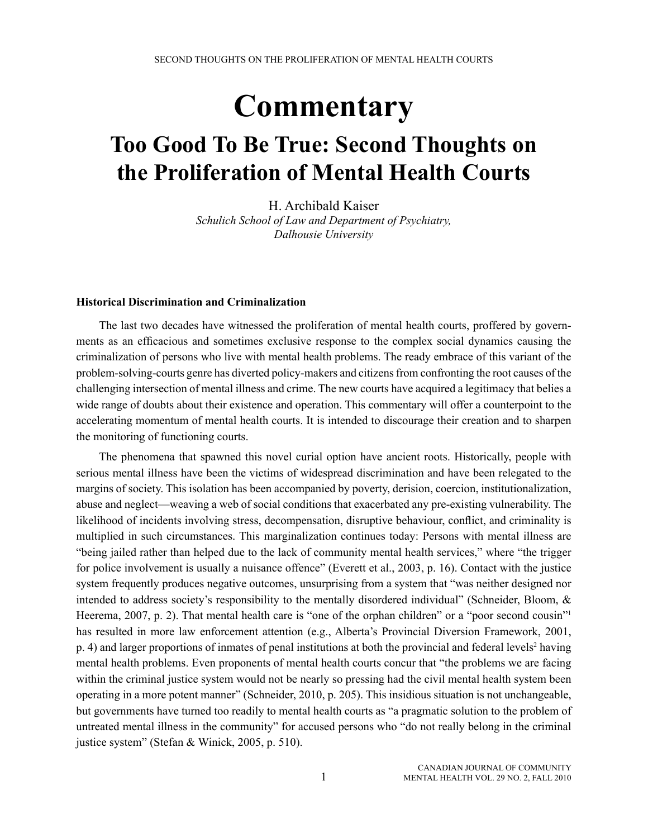# **Commentary**

# **Too Good To Be True: Second Thoughts on the Proliferation of Mental Health Courts**

H. Archibald Kaiser *Schulich School of Law and Department of Psychiatry, Dalhousie University*

#### **Historical Discrimination and Criminalization**

The last two decades have witnessed the proliferation of mental health courts, proffered by governments as an efficacious and sometimes exclusive response to the complex social dynamics causing the criminalization of persons who live with mental health problems. The ready embrace of this variant of the problem-solving-courts genre has diverted policy-makers and citizens from confronting the root causes of the challenging intersection of mental illness and crime. The new courts have acquired a legitimacy that belies a wide range of doubts about their existence and operation. This commentary will offer a counterpoint to the accelerating momentum of mental health courts. It is intended to discourage their creation and to sharpen the monitoring of functioning courts.

The phenomena that spawned this novel curial option have ancient roots. Historically, people with serious mental illness have been the victims of widespread discrimination and have been relegated to the margins of society. This isolation has been accompanied by poverty, derision, coercion, institutionalization, abuse and neglect—weaving a web of social conditions that exacerbated any pre-existing vulnerability. The likelihood of incidents involving stress, decompensation, disruptive behaviour, conflict, and criminality is multiplied in such circumstances. This marginalization continues today: Persons with mental illness are "being jailed rather than helped due to the lack of community mental health services," where "the trigger for police involvement is usually a nuisance offence" (Everett et al., 2003, p. 16). Contact with the justice system frequently produces negative outcomes, unsurprising from a system that "was neither designed nor intended to address society's responsibility to the mentally disordered individual" (Schneider, Bloom, & Heerema, 2007, p. 2). That mental health care is "one of the orphan children" or a "poor second cousin"<sup>1</sup> has resulted in more law enforcement attention (e.g., Alberta's Provincial Diversion Framework, 2001, p. 4) and larger proportions of inmates of penal institutions at both the provincial and federal levels<sup>2</sup> having mental health problems. Even proponents of mental health courts concur that "the problems we are facing within the criminal justice system would not be nearly so pressing had the civil mental health system been operating in a more potent manner" (Schneider, 2010, p. 205). This insidious situation is not unchangeable, but governments have turned too readily to mental health courts as "a pragmatic solution to the problem of untreated mental illness in the community" for accused persons who "do not really belong in the criminal justice system" (Stefan & Winick, 2005, p. 510).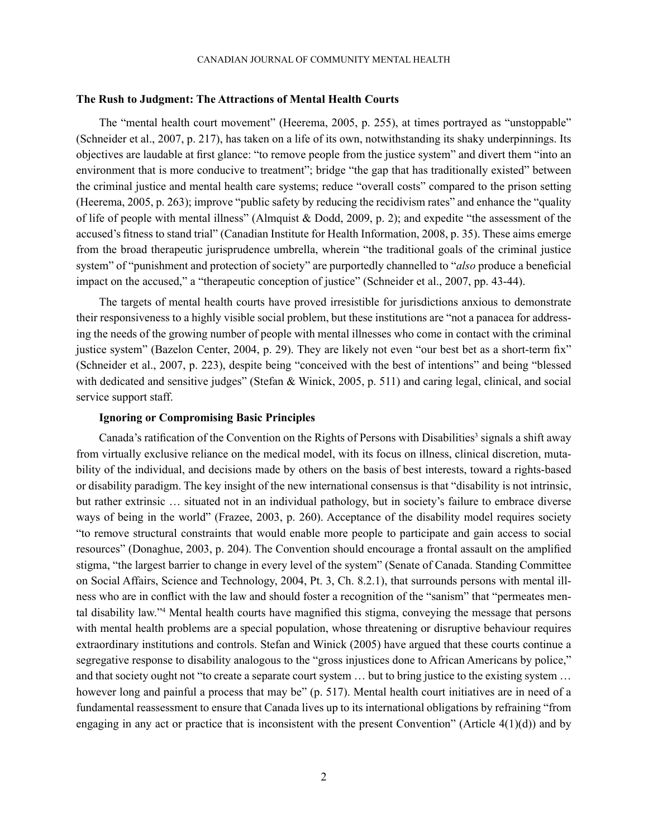#### **The Rush to Judgment: The Attractions of Mental Health Courts**

The "mental health court movement" (Heerema, 2005, p. 255), at times portrayed as "unstoppable" (Schneider et al., 2007, p. 217), has taken on a life of its own, notwithstanding its shaky underpinnings. Its objectives are laudable at first glance: "to remove people from the justice system" and divert them "into an environment that is more conducive to treatment"; bridge "the gap that has traditionally existed" between the criminal justice and mental health care systems; reduce "overall costs" compared to the prison setting (Heerema, 2005, p. 263); improve "public safety by reducing the recidivism rates" and enhance the "quality of life of people with mental illness" (Almquist & Dodd, 2009, p. 2); and expedite "the assessment of the accused's fitness to stand trial" (Canadian Institute for Health Information, 2008, p. 35). These aims emerge from the broad therapeutic jurisprudence umbrella, wherein "the traditional goals of the criminal justice system" of "punishment and protection of society" are purportedly channelled to "*also* produce a beneficial impact on the accused," a "therapeutic conception of justice" (Schneider et al., 2007, pp. 43-44).

The targets of mental health courts have proved irresistible for jurisdictions anxious to demonstrate their responsiveness to a highly visible social problem, but these institutions are "not a panacea for addressing the needs of the growing number of people with mental illnesses who come in contact with the criminal justice system" (Bazelon Center, 2004, p. 29). They are likely not even "our best bet as a short-term fix" (Schneider et al., 2007, p. 223), despite being "conceived with the best of intentions" and being "blessed with dedicated and sensitive judges" (Stefan & Winick, 2005, p. 511) and caring legal, clinical, and social service support staff.

#### **Ignoring or Compromising Basic Principles**

Canada's ratification of the Convention on the Rights of Persons with Disabilities<sup>3</sup> signals a shift away from virtually exclusive reliance on the medical model, with its focus on illness, clinical discretion, mutability of the individual, and decisions made by others on the basis of best interests, toward a rights-based or disability paradigm. The key insight of the new international consensus is that "disability is not intrinsic, but rather extrinsic … situated not in an individual pathology, but in society's failure to embrace diverse ways of being in the world" (Frazee, 2003, p. 260). Acceptance of the disability model requires society "to remove structural constraints that would enable more people to participate and gain access to social resources" (Donaghue, 2003, p. 204). The Convention should encourage a frontal assault on the amplified stigma, "the largest barrier to change in every level of the system" (Senate of Canada. Standing Committee on Social Affairs, Science and Technology, 2004, Pt. 3, Ch. 8.2.1), that surrounds persons with mental illness who are in conflict with the law and should foster a recognition of the "sanism" that "permeates mental disability law."4 Mental health courts have magnified this stigma, conveying the message that persons with mental health problems are a special population, whose threatening or disruptive behaviour requires extraordinary institutions and controls. Stefan and Winick (2005) have argued that these courts continue a segregative response to disability analogous to the "gross injustices done to African Americans by police," and that society ought not "to create a separate court system … but to bring justice to the existing system … however long and painful a process that may be" (p. 517). Mental health court initiatives are in need of a fundamental reassessment to ensure that Canada lives up to its international obligations by refraining "from engaging in any act or practice that is inconsistent with the present Convention" (Article  $4(1)(d)$ ) and by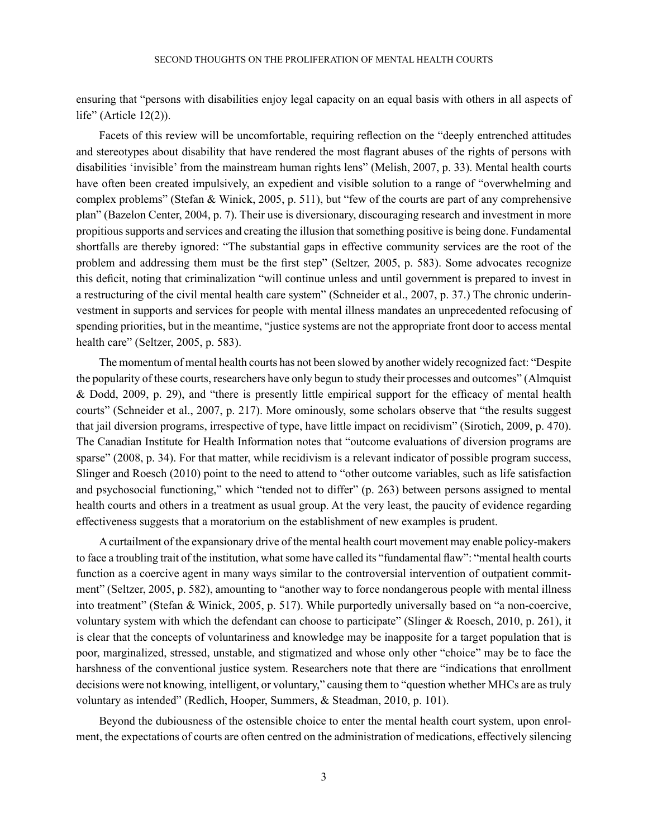ensuring that "persons with disabilities enjoy legal capacity on an equal basis with others in all aspects of life" (Article 12(2)).

Facets of this review will be uncomfortable, requiring reflection on the "deeply entrenched attitudes and stereotypes about disability that have rendered the most flagrant abuses of the rights of persons with disabilities 'invisible' from the mainstream human rights lens" (Melish, 2007, p. 33). Mental health courts have often been created impulsively, an expedient and visible solution to a range of "overwhelming and complex problems" (Stefan & Winick, 2005, p. 511), but "few of the courts are part of any comprehensive plan" (Bazelon Center, 2004, p. 7). Their use is diversionary, discouraging research and investment in more propitious supports and services and creating the illusion that something positive is being done. Fundamental shortfalls are thereby ignored: "The substantial gaps in effective community services are the root of the problem and addressing them must be the first step" (Seltzer, 2005, p. 583). Some advocates recognize this deficit, noting that criminalization "will continue unless and until government is prepared to invest in a restructuring of the civil mental health care system" (Schneider et al., 2007, p. 37.) The chronic underinvestment in supports and services for people with mental illness mandates an unprecedented refocusing of spending priorities, but in the meantime, "justice systems are not the appropriate front door to access mental health care" (Seltzer, 2005, p. 583).

The momentum of mental health courts has not been slowed by another widely recognized fact: "Despite the popularity of these courts, researchers have only begun to study their processes and outcomes" (Almquist & Dodd, 2009, p. 29), and "there is presently little empirical support for the efficacy of mental health courts" (Schneider et al., 2007, p. 217). More ominously, some scholars observe that "the results suggest that jail diversion programs, irrespective of type, have little impact on recidivism" (Sirotich, 2009, p. 470). The Canadian Institute for Health Information notes that "outcome evaluations of diversion programs are sparse" (2008, p. 34). For that matter, while recidivism is a relevant indicator of possible program success, Slinger and Roesch (2010) point to the need to attend to "other outcome variables, such as life satisfaction and psychosocial functioning," which "tended not to differ" (p. 263) between persons assigned to mental health courts and others in a treatment as usual group. At the very least, the paucity of evidence regarding effectiveness suggests that a moratorium on the establishment of new examples is prudent.

A curtailment of the expansionary drive of the mental health court movement may enable policy-makers to face a troubling trait of the institution, what some have called its "fundamental flaw": "mental health courts function as a coercive agent in many ways similar to the controversial intervention of outpatient commitment" (Seltzer, 2005, p. 582), amounting to "another way to force nondangerous people with mental illness into treatment" (Stefan & Winick, 2005, p. 517). While purportedly universally based on "a non-coercive, voluntary system with which the defendant can choose to participate" (Slinger & Roesch, 2010, p. 261), it is clear that the concepts of voluntariness and knowledge may be inapposite for a target population that is poor, marginalized, stressed, unstable, and stigmatized and whose only other "choice" may be to face the harshness of the conventional justice system. Researchers note that there are "indications that enrollment decisions were not knowing, intelligent, or voluntary," causing them to "question whether MHCs are as truly voluntary as intended" (Redlich, Hooper, Summers, & Steadman, 2010, p. 101).

Beyond the dubiousness of the ostensible choice to enter the mental health court system, upon enrolment, the expectations of courts are often centred on the administration of medications, effectively silencing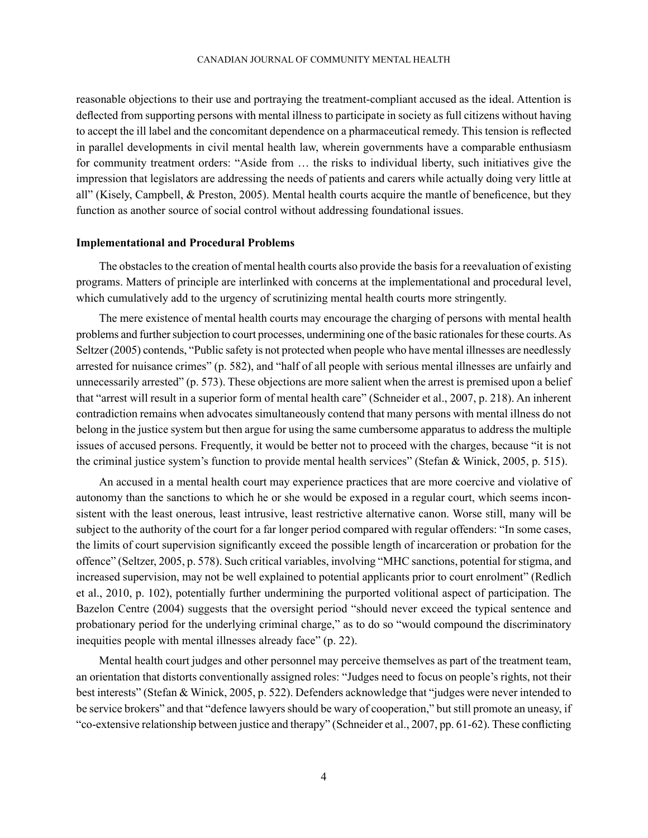### canadian journal of community mental health

reasonable objections to their use and portraying the treatment-compliant accused as the ideal. Attention is deflected from supporting persons with mental illness to participate in society as full citizens without having to accept the ill label and the concomitant dependence on a pharmaceutical remedy. This tension is reflected in parallel developments in civil mental health law, wherein governments have a comparable enthusiasm for community treatment orders: "Aside from … the risks to individual liberty, such initiatives give the impression that legislators are addressing the needs of patients and carers while actually doing very little at all" (Kisely, Campbell, & Preston, 2005). Mental health courts acquire the mantle of beneficence, but they function as another source of social control without addressing foundational issues.

#### **Implementational and Procedural Problems**

The obstacles to the creation of mental health courts also provide the basis for a reevaluation of existing programs. Matters of principle are interlinked with concerns at the implementational and procedural level, which cumulatively add to the urgency of scrutinizing mental health courts more stringently.

The mere existence of mental health courts may encourage the charging of persons with mental health problems and further subjection to court processes, undermining one of the basic rationales for these courts. As Seltzer (2005) contends, "Public safety is not protected when people who have mental illnesses are needlessly arrested for nuisance crimes" (p. 582), and "half of all people with serious mental illnesses are unfairly and unnecessarily arrested" (p. 573). These objections are more salient when the arrest is premised upon a belief that "arrest will result in a superior form of mental health care" (Schneider et al., 2007, p. 218). An inherent contradiction remains when advocates simultaneously contend that many persons with mental illness do not belong in the justice system but then argue for using the same cumbersome apparatus to address the multiple issues of accused persons. Frequently, it would be better not to proceed with the charges, because "it is not the criminal justice system's function to provide mental health services" (Stefan & Winick, 2005, p. 515).

An accused in a mental health court may experience practices that are more coercive and violative of autonomy than the sanctions to which he or she would be exposed in a regular court, which seems inconsistent with the least onerous, least intrusive, least restrictive alternative canon. Worse still, many will be subject to the authority of the court for a far longer period compared with regular offenders: "In some cases, the limits of court supervision significantly exceed the possible length of incarceration or probation for the offence" (Seltzer, 2005, p. 578). Such critical variables, involving "MHC sanctions, potential for stigma, and increased supervision, may not be well explained to potential applicants prior to court enrolment" (Redlich et al., 2010, p. 102), potentially further undermining the purported volitional aspect of participation. The Bazelon Centre (2004) suggests that the oversight period "should never exceed the typical sentence and probationary period for the underlying criminal charge," as to do so "would compound the discriminatory inequities people with mental illnesses already face" (p. 22).

Mental health court judges and other personnel may perceive themselves as part of the treatment team, an orientation that distorts conventionally assigned roles: "Judges need to focus on people's rights, not their best interests" (Stefan & Winick, 2005, p. 522). Defenders acknowledge that "judges were never intended to be service brokers" and that "defence lawyers should be wary of cooperation," but still promote an uneasy, if "co-extensive relationship between justice and therapy" (Schneider et al., 2007, pp. 61-62). These conflicting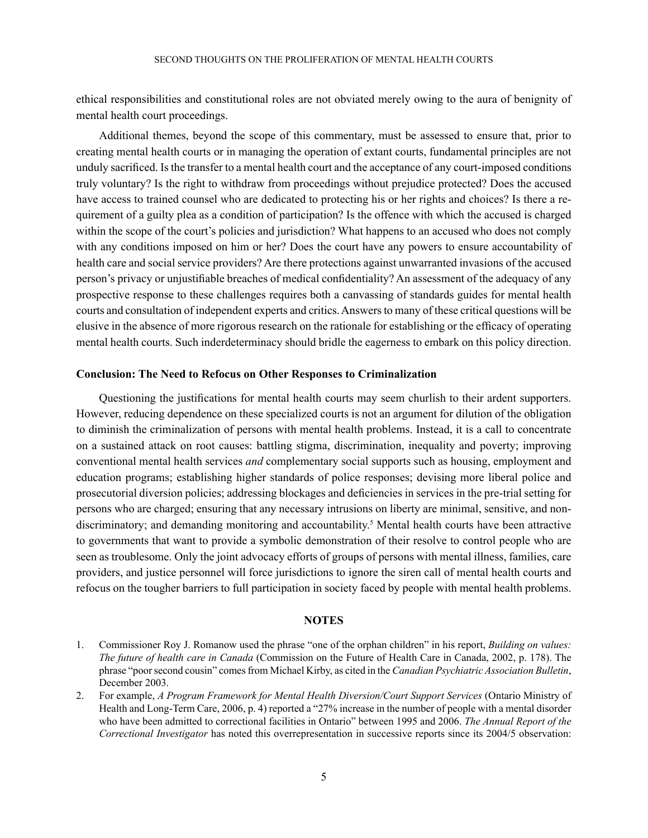ethical responsibilities and constitutional roles are not obviated merely owing to the aura of benignity of mental health court proceedings.

Additional themes, beyond the scope of this commentary, must be assessed to ensure that, prior to creating mental health courts or in managing the operation of extant courts, fundamental principles are not unduly sacrificed. Is the transfer to a mental health court and the acceptance of any court-imposed conditions truly voluntary? Is the right to withdraw from proceedings without prejudice protected? Does the accused have access to trained counsel who are dedicated to protecting his or her rights and choices? Is there a requirement of a guilty plea as a condition of participation? Is the offence with which the accused is charged within the scope of the court's policies and jurisdiction? What happens to an accused who does not comply with any conditions imposed on him or her? Does the court have any powers to ensure accountability of health care and social service providers? Are there protections against unwarranted invasions of the accused person's privacy or unjustifiable breaches of medical confidentiality? An assessment of the adequacy of any prospective response to these challenges requires both a canvassing of standards guides for mental health courts and consultation of independent experts and critics. Answers to many of these critical questions will be elusive in the absence of more rigorous research on the rationale for establishing or the efficacy of operating mental health courts. Such inderdeterminacy should bridle the eagerness to embark on this policy direction.

## **Conclusion: The Need to Refocus on Other Responses to Criminalization**

Questioning the justifications for mental health courts may seem churlish to their ardent supporters. However, reducing dependence on these specialized courts is not an argument for dilution of the obligation to diminish the criminalization of persons with mental health problems. Instead, it is a call to concentrate on a sustained attack on root causes: battling stigma, discrimination, inequality and poverty; improving conventional mental health services *and* complementary social supports such as housing, employment and education programs; establishing higher standards of police responses; devising more liberal police and prosecutorial diversion policies; addressing blockages and deficiencies in services in the pre-trial setting for persons who are charged; ensuring that any necessary intrusions on liberty are minimal, sensitive, and nondiscriminatory; and demanding monitoring and accountability.<sup>5</sup> Mental health courts have been attractive to governments that want to provide a symbolic demonstration of their resolve to control people who are seen as troublesome. Only the joint advocacy efforts of groups of persons with mental illness, families, care providers, and justice personnel will force jurisdictions to ignore the siren call of mental health courts and refocus on the tougher barriers to full participation in society faced by people with mental health problems.

## **Notes**

<sup>1.</sup> Commissioner Roy J. Romanow used the phrase "one of the orphan children" in his report, *Building on values: The future of health care in Canada* (Commission on the Future of Health Care in Canada, 2002, p. 178). The phrase "poor second cousin" comes from Michael Kirby, as cited in the *Canadian Psychiatric Association Bulletin*, December 2003.

<sup>2.</sup> For example, *A Program Framework for Mental Health Diversion/Court Support Services* (Ontario Ministry of Health and Long-Term Care, 2006, p. 4) reported a "27% increase in the number of people with a mental disorder who have been admitted to correctional facilities in Ontario" between 1995 and 2006. *The Annual Report of the Correctional Investigator* has noted this overrepresentation in successive reports since its 2004/5 observation: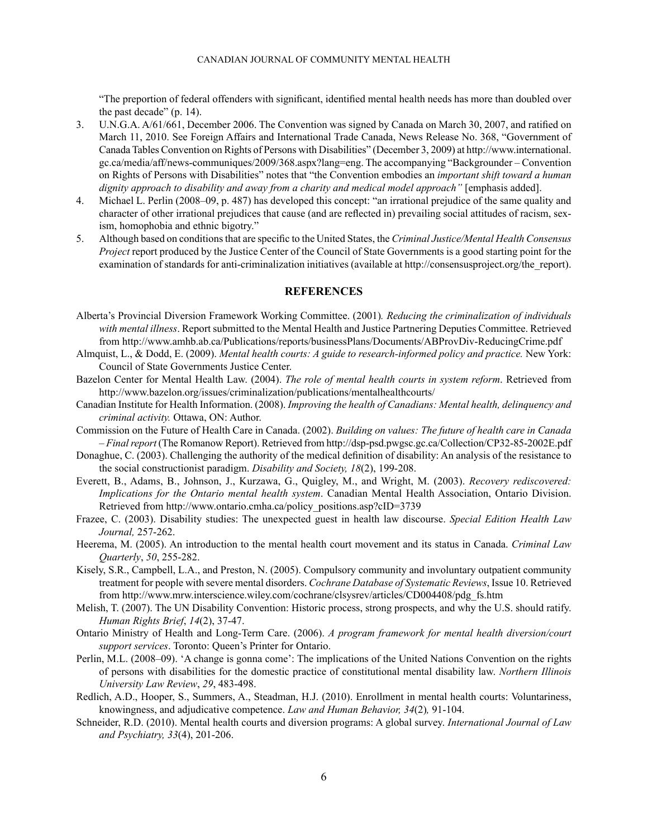"The preportion of federal offenders with significant, identified mental health needs has more than doubled over the past decade" (p. 14).

- 3. U.N.G.A. A/61/661, December 2006. The Convention was signed by Canada on March 30, 2007, and ratified on March 11, 2010. See Foreign Affairs and International Trade Canada, News Release No. 368, "Government of Canada Tables Convention on Rights of Persons with Disabilities" (December 3, 2009) at http://www.international. gc.ca/media/aff/news-communiques/2009/368.aspx?lang=eng. The accompanying "Backgrounder – Convention on Rights of Persons with Disabilities" notes that "the Convention embodies an *important shift toward a human dignity approach to disability and away from a charity and medical model approach"* [emphasis added].
- 4. Michael L. Perlin (2008–09, p. 487) has developed this concept: "an irrational prejudice of the same quality and character of other irrational prejudices that cause (and are reflected in) prevailing social attitudes of racism, sexism, homophobia and ethnic bigotry."
- 5. Although based on conditions that are specific to the United States, the *Criminal Justice/Mental Health Consensus Project* report produced by the Justice Center of the Council of State Governments is a good starting point for the examination of standards for anti-criminalization initiatives (available at http://consensusproject.org/the\_report).

### **REFERENCES**

- Alberta's Provincial Diversion Framework Working Committee. (2001)*. Reducing the criminalization of individuals with mental illness*. Report submitted to the Mental Health and Justice Partnering Deputies Committee. Retrieved from http://www.amhb.ab.ca/Publications/reports/businessPlans/Documents/ABProvDiv-ReducingCrime.pdf
- Almquist, L., & Dodd, E. (2009). *Mental health courts: A guide to research-informed policy and practice.* New York: Council of State Governments Justice Center.
- Bazelon Center for Mental Health Law. (2004). *The role of mental health courts in system reform*. Retrieved from http://www.bazelon.org/issues/criminalization/publications/mentalhealthcourts/
- Canadian Institute for Health Information. (2008). *Improving the health of Canadians: Mental health, delinquency and criminal activity.* Ottawa, ON: Author.
- Commission on the Future of Health Care in Canada. (2002). *Building on values: The future of health care in Canada – Final report* (The Romanow Report). Retrieved from http://dsp-psd.pwgsc.gc.ca/Collection/CP32-85-2002E.pdf
- Donaghue, C. (2003). Challenging the authority of the medical definition of disability: An analysis of the resistance to the social constructionist paradigm. *Disability and Society, 18*(2), 199-208.
- Everett, B., Adams, B., Johnson, J., Kurzawa, G., Quigley, M., and Wright, M. (2003). *Recovery rediscovered: Implications for the Ontario mental health system*. Canadian Mental Health Association, Ontario Division. Retrieved from http://www.ontario.cmha.ca/policy\_positions.asp?cID=3739
- Frazee, C. (2003). Disability studies: The unexpected guest in health law discourse. *Special Edition Health Law Journal,* 257-262.
- Heerema, M. (2005). An introduction to the mental health court movement and its status in Canada. *Criminal Law Quarterly*, *50*, 255-282.
- Kisely, S.R., Campbell, L.A., and Preston, N. (2005). Compulsory community and involuntary outpatient community treatment for people with severe mental disorders. *Cochrane Database of Systematic Reviews*, Issue 10. Retrieved from http://www.mrw.interscience.wiley.com/cochrane/clsysrev/articles/CD004408/pdg\_fs.htm
- Melish, T. (2007). The UN Disability Convention: Historic process, strong prospects, and why the U.S. should ratify. *Human Rights Brief*, *14*(2), 37-47.
- Ontario Ministry of Health and Long-Term Care. (2006). *A program framework for mental health diversion/court support services*. Toronto: Queen's Printer for Ontario.
- Perlin, M.L. (2008–09). 'A change is gonna come': The implications of the United Nations Convention on the rights of persons with disabilities for the domestic practice of constitutional mental disability law. *Northern Illinois University Law Review*, *29*, 483-498.
- Redlich, A.D., Hooper, S., Summers, A., Steadman, H.J. (2010). Enrollment in mental health courts: Voluntariness, knowingness, and adjudicative competence. *Law and Human Behavior, 34*(2)*,* 91-104.
- Schneider, R.D. (2010). Mental health courts and diversion programs: A global survey. *International Journal of Law and Psychiatry, 33*(4), 201-206.